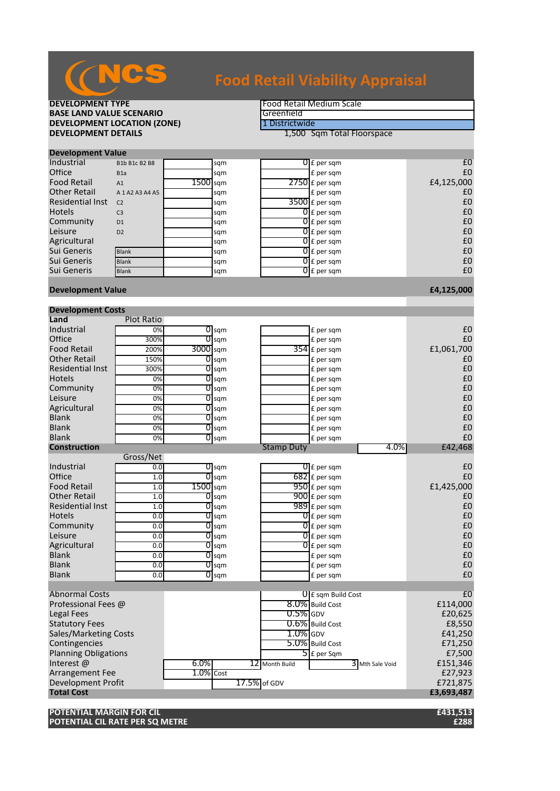

**DEVELOPMENT TYPE**<br> **BASE LAND VALUE SCENARIO BASE LAND VALUE SCENARIO**<br> **DEVELOPMENT LOCATION (ZONE)** The Contract of The Contract of The Contract of The Contract of The Contract of T **DEVELOPMENT LOCATION (ZONE)**<br>DEVELOPMENT DETAILS

**1,500 Sqm Total Floorspace** 

| <b>Development Value</b> |                     |            |     |  |                          |            |  |  |
|--------------------------|---------------------|------------|-----|--|--------------------------|------------|--|--|
| Industrial               | B1b B1c B2 B8       |            | sqm |  | $0 \mathsf{F}$ per sqm   | £C         |  |  |
| Office                   | B <sub>1</sub> a    |            | sqm |  | £ per sqm                | £C         |  |  |
| <b>Food Retail</b>       | A1                  | $1500$ sam |     |  | $2750$ E per sqm         | £4,125,000 |  |  |
| <b>Other Retail</b>      | A 1 A 2 A 3 A 4 A 5 |            | sqm |  | £ per sqm                | £C         |  |  |
| Residential Inst         | C <sub>2</sub>      |            | sqm |  | $3500$ £ per sqm         | £C         |  |  |
| <b>Hotels</b>            | C <sub>3</sub>      |            | sqm |  | $\overline{0}$ E per sqm | £C         |  |  |
| Community                | D <sub>1</sub>      |            | sqm |  | $0 \text{ f}$ per sqm    | £C         |  |  |
| Leisure                  | D <sub>2</sub>      |            | sqm |  | $\overline{0}$ E per sqm | £C         |  |  |
| Agricultural             |                     |            | sqm |  | $0 \mathsf{E}$ per sqm   | £C         |  |  |
| Sui Generis              | <b>Blank</b>        |            | sqm |  | $0f$ per sqm             | £C         |  |  |
| Sui Generis              | <b>Blank</b>        |            | sqm |  | $\overline{O}$ E per sqm | £C         |  |  |
| Sui Generis              | <b>Blank</b>        |            | sqm |  | $\overline{0}$ E per sqm | £C         |  |  |
|                          |                     |            |     |  |                          |            |  |  |

#### **Development Value £4,125,000**

| <b>Development Costs</b>    |                   |              |                         |              |                   |                                   |                 |                |
|-----------------------------|-------------------|--------------|-------------------------|--------------|-------------------|-----------------------------------|-----------------|----------------|
| Land                        | <b>Plot Ratio</b> |              |                         |              |                   |                                   |                 |                |
| Industrial                  | 0%                |              | $0 \,\mathrm{sgm}$      |              |                   | £ per sqm                         |                 | £0             |
| Office                      | 300%              |              | $0$ sqm                 |              |                   | £ per sqm                         |                 | £0             |
| <b>Food Retail</b>          | 200%              | 3000 sqm     |                         |              |                   | $354$ £ per sqm                   |                 | £1,061,700     |
| <b>Other Retail</b>         | 150%              |              | $O$ sqm                 |              |                   | £ per sqm                         |                 | £0             |
| <b>Residential Inst</b>     | 300%              |              | $O$ sqm                 |              |                   | £ per sqm                         |                 | £0             |
| <b>Hotels</b>               | 0%                |              | $\overline{O}$ sqm      |              |                   | £ per sqm                         |                 | £0             |
| Community                   | 0%                |              | $\sigma$ <sub>sqm</sub> |              |                   | £ per sqm                         |                 | £0             |
| Leisure                     | 0%                |              | $\sigma$ <sub>sqm</sub> |              |                   | £ per sqm                         |                 | £0             |
| Agricultural                | 0%                |              | $0$ sqm                 |              |                   | £ per sqm                         |                 | £0             |
| <b>Blank</b>                | 0%                |              | $O$ sqm                 |              |                   | £ per sqm                         |                 | £0             |
| <b>Blank</b>                | 0%                |              | $\overline{0}$ sqm      |              |                   | £ per sqm                         |                 | £0             |
| <b>Blank</b>                | 0%                |              | $0$ sqm                 |              |                   | £ per sqm                         |                 | £0             |
| <b>Construction</b>         |                   |              |                         |              | <b>Stamp Duty</b> |                                   | 4.0%            | £42,468        |
|                             | Gross/Net         |              |                         |              |                   |                                   |                 |                |
| Industrial                  | 0.0               |              | $\overline{O}$ sqm      |              |                   | $\overline{0}$ £ per sqm          |                 | £0             |
| Office                      | 1.0               |              | $\overline{0}$ sqm      |              |                   | $682$ £ per sqm                   |                 | £0             |
| <b>Food Retail</b>          | 1.0               | 1500 sqm     |                         |              |                   | 950 £ per sqm                     |                 | £1,425,000     |
| <b>Other Retail</b>         | 1.0               |              | $0$ sqm                 |              |                   | 900 £ per sqm                     |                 | £0             |
| <b>Residential Inst</b>     | 1.0               |              | $\overline{0}$ sqm      |              |                   | 989 £ per sqm                     |                 | £0             |
| <b>Hotels</b>               | 0.0               | 0            | sqm                     |              |                   | $\overline{0}$ E per sqm          |                 | £0             |
| Community                   | 0.0               |              | $\sigma$ <sub>sqm</sub> |              |                   | $\overline{0}$ E per sqm          |                 | £0             |
| Leisure                     | 0.0               |              | $O$ sqm                 |              |                   | $\overline{0}$ E per sqm          |                 | £0             |
| Agricultural                | 0.0               |              | $O$ sqm                 |              |                   | $\overline{0}$ E per sqm          |                 | £0             |
| <b>Blank</b>                | 0.0               |              | $\overline{0}$ sqm      |              |                   | £ per sqm                         |                 | £0             |
| <b>Blank</b>                | 0.0               |              | $0$ sqm                 |              |                   | £ per sqm                         |                 | £0             |
| <b>Blank</b>                | 0.0               |              | $O$ sqm                 |              |                   | £ per sqm                         |                 | £0             |
|                             |                   |              |                         |              |                   |                                   |                 |                |
| <b>Abnormal Costs</b>       |                   |              |                         |              |                   | <b>U</b> E sqm Build Cost         |                 | E <sub>0</sub> |
| Professional Fees @         |                   |              |                         |              |                   | 8.0% Build Cost                   |                 | £114,000       |
| Legal Fees                  |                   |              |                         |              | $0.5\%$ GDV       |                                   |                 | £20,625        |
| <b>Statutory Fees</b>       |                   |              |                         |              |                   | 0.6% Build Cost                   |                 | £8,550         |
| Sales/Marketing Costs       |                   |              |                         |              | $1.0\%$ GDV       |                                   |                 | £41,250        |
| Contingencies               |                   |              |                         |              |                   | 5.0% Build Cost                   |                 | £71,250        |
| <b>Planning Obligations</b> |                   |              |                         |              |                   | $\overline{\mathsf{5}}$ E per Sqm |                 | £7,500         |
| Interest@                   |                   | $6.0\%$      |                         |              | 12 Month Build    |                                   | 3 Mth Sale Void | £151,346       |
| Arrangement Fee             |                   | $1.0\%$ Cost |                         |              |                   |                                   |                 | £27,923        |
| <b>Development Profit</b>   |                   |              |                         | 17.5% of GDV |                   |                                   |                 | £721,875       |
| <b>Total Cost</b>           |                   |              |                         |              |                   |                                   |                 | £3,693,487     |
|                             |                   |              |                         |              |                   |                                   |                 |                |

**POTENTIAL MARGIN FOR CIL £431,513 POTENTIAL CIL RATE PER SQ METRE £288**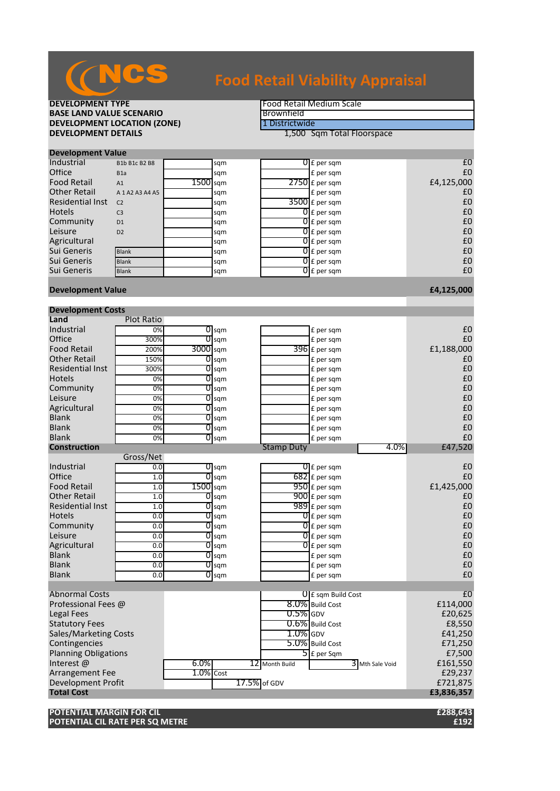

### **DEVELOPMENT TYPE**<br> **BASE LAND VALUE SCENARIO BASE LAND VALUE SCENARIO**<br> **DEVELOPMENT LOCATION (ZONE) EXPORENT LOCATION (ZONE) BEVELOPMENT LOCATION (ZONE) DEVELOPMENT LOCATION (ZONE)**<br>DEVELOPMENT DETAILS

**1,500 Sqm Total Floorspace** 

| <b>Development Value</b> |                     |            |     |  |                          |            |  |  |
|--------------------------|---------------------|------------|-----|--|--------------------------|------------|--|--|
| Industrial               | B1b B1c B2 B8       |            | sqm |  | $0 \mathsf{E}$ per sqm   | £C         |  |  |
| Office                   | B <sub>1</sub> a    |            | sqm |  | £ per sam                | £C         |  |  |
| <b>Food Retail</b>       | A1                  | $1500$ sqm |     |  | $2750$ £ per sqm         | £4,125,000 |  |  |
| <b>Other Retail</b>      | A 1 A 2 A 3 A 4 A 5 |            | sqm |  | E per sqm                | £C         |  |  |
| Residential Inst         | C <sub>2</sub>      |            | sqm |  | $3500$ £ per sqm         | £C         |  |  |
| <b>Hotels</b>            | C <sub>3</sub>      |            | sqm |  | $\overline{0}$ E per sqm | £C         |  |  |
| Community                | D <sub>1</sub>      |            | sqm |  | $\overline{0}$ E per sqm | £C         |  |  |
| Leisure                  | D2                  |            | sqm |  | $\overline{0}$ E per sqm | £C         |  |  |
| Agricultural             |                     |            | sqm |  | $\overline{0}$ E per sqm | £C         |  |  |
| Sui Generis              | <b>Blank</b>        |            | sqm |  | $\overline{0}$ E per sqm | £C         |  |  |
| Sui Generis              | <b>Blank</b>        |            | sqm |  | $\overline{O}$ E per sqm | £C         |  |  |
| Sui Generis              | <b>Blank</b>        |            | sqm |  | $\overline{O}$ E per sqm | £C         |  |  |
|                          |                     |            |     |  |                          |            |  |  |

#### **Development Value £4,125,000**

| <b>Development Costs</b>     |                   |                       |                         |                   |                                   |                |
|------------------------------|-------------------|-----------------------|-------------------------|-------------------|-----------------------------------|----------------|
| Land                         | <b>Plot Ratio</b> |                       |                         |                   |                                   |                |
| Industrial                   | 0%                |                       | $\overline{O}$ sqm      |                   | £ per sqm                         | £0             |
| Office                       | 300%              | 01                    | sqm                     |                   | £ per sqm                         | £0             |
| <b>Food Retail</b>           | 200%              | 3000 sqm              |                         |                   | $396$ £ per sqm                   | £1,188,000     |
| <b>Other Retail</b>          | 150%              |                       | $O$ sqm                 |                   | £ per sqm                         | £0             |
| <b>Residential Inst</b>      | 300%              | 01                    | sqm                     |                   | £ per sqm                         | £0             |
| <b>Hotels</b>                | 0%                | 01                    | sqm                     |                   | £ per sqm                         | £0             |
| Community                    | 0%                | 01                    | sqm                     |                   | £ per sqm                         | £0             |
| Leisure                      | $\overline{0\%}$  | 01                    | sqm                     |                   | £ per sqm                         | £0             |
| Agricultural                 | 0%                | 01                    | sqm                     |                   | £ per sqm                         | £0             |
| <b>Blank</b>                 | 0%                |                       | $\overline{O}$ sqm      |                   | £ per sqm                         | £0             |
| <b>Blank</b>                 | 0%                |                       | $O$ sqm                 |                   | £ per sqm                         | £0             |
| <b>Blank</b>                 | 0%                | 01                    | sqm                     |                   | £ per sqm                         | £0             |
| <b>Construction</b>          |                   |                       |                         | <b>Stamp Duty</b> | 4.0%                              | £47,520        |
|                              | Gross/Net         |                       |                         |                   |                                   |                |
| Industrial                   | 0.0               |                       | $\sigma$ <sub>sqm</sub> |                   | $\overline{0}$ E per sqm          | £0             |
| Office                       | 1.0               | 01                    | sqm                     |                   | $682$ E per sqm                   | £0             |
| <b>Food Retail</b>           | 1.0               | $1500$ <sub>sqm</sub> |                         |                   | $950$ £ per sqm                   | £1,425,000     |
| <b>Other Retail</b>          | 1.0               | 01                    | sqm                     |                   | 900 £ per sqm                     | £0             |
| <b>Residential Inst</b>      | 1.0               | 01                    | sqm                     |                   | 989 £ per sqm                     | £0             |
| <b>Hotels</b>                | 0.0               | 0                     | sqm                     |                   | $\overline{0}$ E per sqm          | £0             |
| Community                    | 0.0               | 01                    | sqm                     |                   | $\overline{0}$ £ per sqm          | £0             |
| Leisure                      | 0.0               | 01                    | sqm                     |                   | $\overline{0}$ E per sqm          | £0             |
| Agricultural                 | 0.0               | 01                    | sqm                     |                   | $\overline{0}$ E per sqm          | £0             |
| <b>Blank</b>                 | 0.0               |                       | $\overline{0}$ sqm      |                   | £ per sqm                         | £0             |
| <b>Blank</b>                 | 0.0               | O                     | sqm                     |                   | £ per sqm                         | £0             |
| <b>Blank</b>                 | 0.0               | 01                    | sqm                     |                   | £ per sqm                         | £0             |
|                              |                   |                       |                         |                   |                                   |                |
| <b>Abnormal Costs</b>        |                   |                       |                         |                   | $\theta$ E sqm Build Cost         | E <sub>0</sub> |
| Professional Fees @          |                   |                       |                         |                   | 8.0% Build Cost                   | £114,000       |
| <b>Legal Fees</b>            |                   |                       |                         | $0.5\%$ GDV       |                                   | £20,625        |
| <b>Statutory Fees</b>        |                   |                       |                         |                   | 0.6% Build Cost                   | £8,550         |
| <b>Sales/Marketing Costs</b> |                   |                       |                         | $1.0\%$ GDV       |                                   | £41,250        |
| Contingencies                |                   |                       |                         |                   | 5.0% Build Cost                   | £71,250        |
| <b>Planning Obligations</b>  |                   |                       |                         |                   | $\overline{\mathsf{S}}$ E per Sqm | £7,500         |
| Interest@                    |                   | $6.0\%$               |                         | 12 Month Build    | 3 Mth Sale Void                   | £161,550       |
| Arrangement Fee              |                   | $1.0\%$ Cost          |                         |                   |                                   | £29,237        |
| <b>Development Profit</b>    |                   |                       |                         | 17.5% of GDV      |                                   | £721,875       |
| <b>Total Cost</b>            |                   |                       |                         |                   |                                   | £3,836,357     |
|                              |                   |                       |                         |                   |                                   |                |

**POTENTIAL MARGIN FOR CIL £288,643 POTENTIAL CIL RATE PER SQ METRE**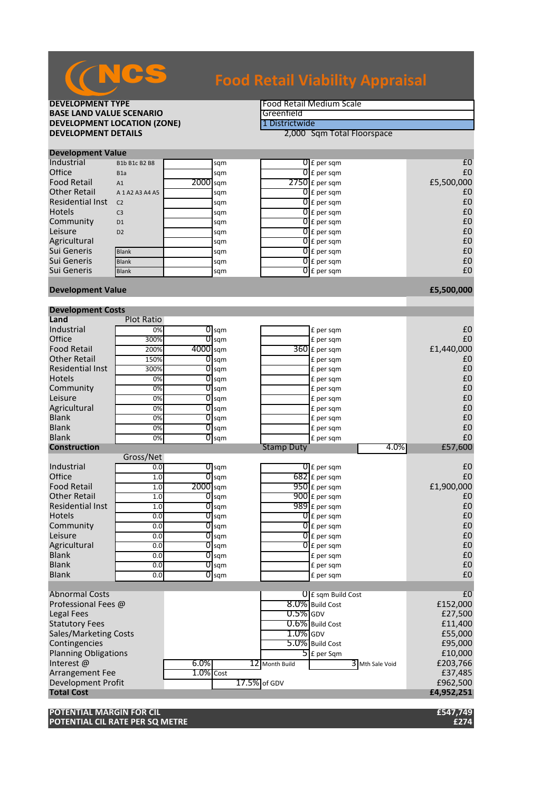

**DEVELOPMENT TYPE**<br> **BASE LAND VALUE SCENARIO BASE LAND VALUE SCENARIO**<br> **DEVELOPMENT LOCATION (ZONE)** The Contract of The Contract of The Contract of The Contract of The Contract of T **DEVELOPMENT LOCATION (ZONE)**<br>DEVELOPMENT DETAILS

**2,000 Sqm Total Floorspace** 

| <b>Development Value</b> |                     |            |     |  |                          |            |  |  |
|--------------------------|---------------------|------------|-----|--|--------------------------|------------|--|--|
| Industrial               | B1b B1c B2 B8       |            | sqm |  | $0 \mathsf{E}$ per sqm   | £C         |  |  |
| Office                   | B <sub>1</sub> a    |            | sqm |  | $0f$ per sqm             | £C         |  |  |
| <b>Food Retail</b>       | A1                  | $2000$ sqm |     |  | $2750$ £ per sqm         | £5,500,000 |  |  |
| <b>Other Retail</b>      | A 1 A 2 A 3 A 4 A 5 |            | sqm |  | $\overline{0}$ E per sqm | £C         |  |  |
| <b>Residential Inst</b>  | C <sub>2</sub>      |            | sqm |  | $\overline{O}$ E per sqm | £C         |  |  |
| <b>Hotels</b>            | C <sub>3</sub>      |            | sqm |  | $0f$ per sqm             | £C         |  |  |
| Community                | D <sub>1</sub>      |            | sqm |  | $\overline{0}$ E per sqm | £C         |  |  |
| Leisure                  | D <sub>2</sub>      |            | sqm |  | $\overline{0}$ E per sqm | £C         |  |  |
| Agricultural             |                     |            | sqm |  | $0f$ per sqm             | £C         |  |  |
| Sui Generis              | <b>Blank</b>        |            | sqm |  | $0f$ per sqm             | £C         |  |  |
| Sui Generis              | <b>Blank</b>        |            | sqm |  | $\overline{O}$ E per sqm | £C         |  |  |
| Sui Generis              | <b>Blank</b>        |            | sqm |  | $\overline{0}$ E per sqm | £C         |  |  |
|                          |                     |            |     |  |                          |            |  |  |

#### **Development Value £5,500,000**

|                              | <b>Development Costs</b> |              |                    |              |                   |                           |                 |                |  |
|------------------------------|--------------------------|--------------|--------------------|--------------|-------------------|---------------------------|-----------------|----------------|--|
| Land                         | <b>Plot Ratio</b>        |              |                    |              |                   |                           |                 |                |  |
| Industrial                   | 0%                       |              | $0 \,\mathrm{sgm}$ |              |                   | £ per sqm                 |                 | £0             |  |
| Office                       | 300%                     |              | $0$ sqm            |              |                   | £ per sqm                 |                 | £0             |  |
| <b>Food Retail</b>           | 200%                     | 4000 sqm     |                    |              |                   | 360 £ per sqm             |                 | £1,440,000     |  |
| <b>Other Retail</b>          | 150%                     |              | $0$ sqm            |              |                   | £ per sqm                 |                 | £0             |  |
| <b>Residential Inst</b>      | 300%                     |              | $O$ sqm            |              |                   | £ per sqm                 |                 | £0             |  |
| <b>Hotels</b>                | 0%                       |              | $\overline{O}$ sqm |              |                   | £ per sqm                 |                 | £0             |  |
| Community                    | 0%                       |              | $\overline{O}$ sqm |              |                   | £ per sqm                 |                 | £0             |  |
| Leisure                      | 0%                       |              | $0$ sqm            |              |                   | £ per sqm                 |                 | £0             |  |
| Agricultural                 | 0%                       |              | $\overline{O}$ sqm |              |                   | £ per sqm                 |                 | £0             |  |
| <b>Blank</b>                 | 0%                       |              | $0$ sqm            |              |                   | £ per sqm                 |                 | £0             |  |
| <b>Blank</b>                 | 0%                       |              | $\overline{0}$ sqm |              |                   | £ per sqm                 |                 | £0             |  |
| <b>Blank</b>                 | 0%                       |              | $0 \text{sgm}$     |              |                   | £ per sqm                 |                 | £0             |  |
| <b>Construction</b>          |                          |              |                    |              | <b>Stamp Duty</b> |                           | 4.0%            | £57,600        |  |
|                              | Gross/Net                |              |                    |              |                   |                           |                 |                |  |
| Industrial                   | 0.0                      |              | $\overline{0}$ sqm |              |                   | $\overline{0}$ £ per sqm  |                 | £0             |  |
| Office                       | 1.0                      |              | $\overline{0}$ sqm |              |                   | $682$ £ per sqm           |                 | £0             |  |
| <b>Food Retail</b>           | 1.0                      | 2000 sqm     |                    |              |                   | 950 £ per sqm             |                 | £1,900,000     |  |
| <b>Other Retail</b>          | 1.0                      |              | $0$ sqm            |              |                   | 900 £ per sqm             |                 | £0             |  |
| <b>Residential Inst</b>      | 1.0                      |              | $\overline{0}$ sqm |              |                   | 989 £ per sqm             |                 | £0             |  |
| <b>Hotels</b>                | 0.0                      |              | $O$ sqm            |              |                   | $\overline{0}$ E per sqm  |                 | £0             |  |
| Community                    | 0.0                      |              | $0$ sqm            |              |                   | $\overline{0}$ £ per sqm  |                 | £0             |  |
| Leisure                      | 0.0                      |              | $\overline{0}$ sqm |              |                   | $\overline{0}$ E per sqm  |                 | £0             |  |
| Agricultural                 | 0.0                      |              | $O$ sqm            |              |                   | $\overline{0}$ £ per sam  |                 | £0             |  |
| <b>Blank</b>                 | 0.0                      |              | $\overline{0}$ sqm |              |                   | £ per sqm                 |                 | £0             |  |
| <b>Blank</b>                 | 0.0                      |              | $\overline{0}$ sqm |              |                   | £ per sqm                 |                 | £0             |  |
| <b>Blank</b>                 | 0.0                      |              | $\overline{O}$ sqm |              |                   | £ per sqm                 |                 | £0             |  |
|                              |                          |              |                    |              |                   |                           |                 |                |  |
| <b>Abnormal Costs</b>        |                          |              |                    |              |                   | <b>U</b> E sqm Build Cost |                 | £ <sub>0</sub> |  |
| Professional Fees @          |                          |              |                    |              |                   | 8.0% Build Cost           |                 | £152,000       |  |
| Legal Fees                   |                          |              |                    |              | $0.5\%$ GDV       |                           |                 | £27,500        |  |
| <b>Statutory Fees</b>        |                          |              |                    |              |                   | 0.6% Build Cost           |                 | £11,400        |  |
| <b>Sales/Marketing Costs</b> |                          |              |                    |              | $1.0\%$ GDV       |                           |                 | £55,000        |  |
| Contingencies                |                          |              |                    |              |                   | 5.0% Build Cost           |                 | £95,000        |  |
| <b>Planning Obligations</b>  |                          |              |                    |              |                   | $5$ E per Sqm             |                 | £10,000        |  |
| Interest@                    |                          | $6.0\%$      |                    |              | 12 Month Build    |                           | 3 Mth Sale Void | £203,766       |  |
| Arrangement Fee              |                          | $1.0\%$ Cost |                    |              |                   |                           |                 | £37,485        |  |
| <b>Development Profit</b>    |                          |              |                    | 17.5% of GDV |                   |                           |                 | £962,500       |  |
| <b>Total Cost</b>            |                          |              |                    |              |                   |                           |                 | £4,952,251     |  |
|                              |                          |              |                    |              |                   |                           |                 |                |  |

**POTENTIAL MARGIN FOR CIL** *ES47,749* **POTENTIAL CIL RATE PER SQ METRE £274**